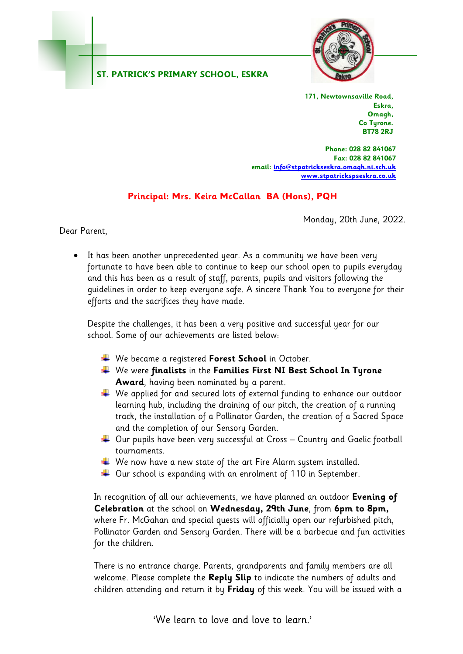## **ST. PATRICK'S PRIMARY SCHOOL, ESKRA**



**171, Newtownsaville Road, Eskra, Omagh, Co Tyrone. BT78 2RJ**

**Phone: 028 82 841067 Fax: 028 82 841067 email[: info@stpatrickseskra.omagh.ni.sch.uk](mailto:info@stpatrickseskra.omagh.ni.sch.uk) [www.stpatrickspseskra.co.uk](http://www.stpatrickspseskra.co.uk/)**

## **Principal: Mrs. Keira McCallan BA (Hons), PQH**

Monday, 20th June, 2022.

Dear Parent,

• It has been another unprecedented year. As a community we have been very fortunate to have been able to continue to keep our school open to pupils everyday and this has been as a result of staff, parents, pupils and visitors following the guidelines in order to keep everyone safe. A sincere Thank You to everyone for their efforts and the sacrifices they have made.

Despite the challenges, it has been a very positive and successful year for our school. Some of our achievements are listed below:

- We became a registered **Forest School** in October.
- We were **finalists** in the **Families First NI Best School In Tyrone Award**, having been nominated by a parent.
- $\ddotplus$  We applied for and secured lots of external funding to enhance our outdoor learning hub, including the draining of our pitch, the creation of a running track, the installation of a Pollinator Garden, the creation of a Sacred Space and the completion of our Sensory Garden.
- $\ddotplus$  Our pupils have been very successful at Cross Country and Gaelic football tournaments.
- $\ddotplus$  We now have a new state of the art Fire Alarm system installed.
- $\ddotplus$  Our school is expanding with an enrolment of 110 in September.

 In recognition of all our achievements, we have planned an outdoor **Evening of Celebration** at the school on **Wednesday, 29th June**, from **6pm to 8pm,** where Fr. McGahan and special quests will officially open our refurbished pitch, Pollinator Garden and Sensory Garden. There will be a barbecue and fun activities for the children.

 There is no entrance charge. Parents, grandparents and family members are all welcome. Please complete the **Reply Slip** to indicate the numbers of adults and children attending and return it by **Friday** of this week. You will be issued with a

'We learn to love and love to learn.'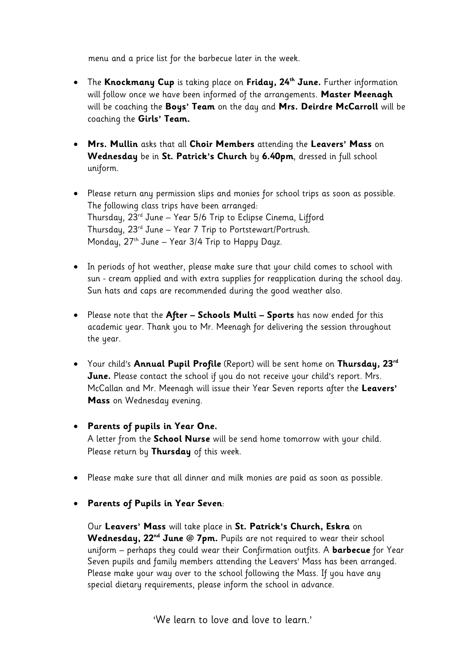menu and a price list for the barbecue later in the week.

- The **Knockmany Cup** is taking place on **Friday, 24th June.** Further information will follow once we have been informed of the arrangements. **Master Meenagh** will be coaching the **Boys' Team** on the day and **Mrs. Deirdre McCarroll** will be coaching the **Girls' Team.**
- **Mrs. Mullin** asks that all **Choir Members** attending the **Leavers' Mass** on **Wednesday** be in **St. Patrick's Church** by **6.40pm**, dressed in full school uniform.
- Please return any permission slips and monies for school trips as soon as possible. The following class trips have been arranged: Thursday, 23rd June – Year 5/6 Trip to Eclipse Cinema, Lifford Thursday, 23rd June – Year 7 Trip to Portstewart/Portrush. Monday,  $27<sup>th</sup>$  June – Year 3/4 Trip to Happy Dayz.
- In periods of hot weather, please make sure that your child comes to school with sun - cream applied and with extra supplies for reapplication during the school day. Sun hats and caps are recommended during the good weather also.
- Please note that the **After – Schools Multi – Sports** has now ended for this academic year. Thank you to Mr. Meenagh for delivering the session throughout the year.
- Your child's **Annual Pupil Profile** (Report) will be sent home on **Thursday, 23rd June.** Please contact the school if you do not receive your child's report. Mrs. McCallan and Mr. Meenagh will issue their Year Seven reports after the **Leavers' Mass** on Wednesday evening.
- **Parents of pupils in Year One.**  A letter from the **School Nurse** will be send home tomorrow with your child. Please return by **Thursday** of this week.
- Please make sure that all dinner and milk monies are paid as soon as possible.
- **Parents of Pupils in Year Seven**:

Our **Leavers' Mass** will take place in **St. Patrick's Church, Eskra** on **Wednesday, 22nd June @ 7pm.** Pupils are not required to wear their school uniform – perhaps they could wear their Confirmation outfits. A **barbecue** for Year Seven pupils and family members attending the Leavers' Mass has been arranged. Please make your way over to the school following the Mass. If you have any special dietary requirements, please inform the school in advance.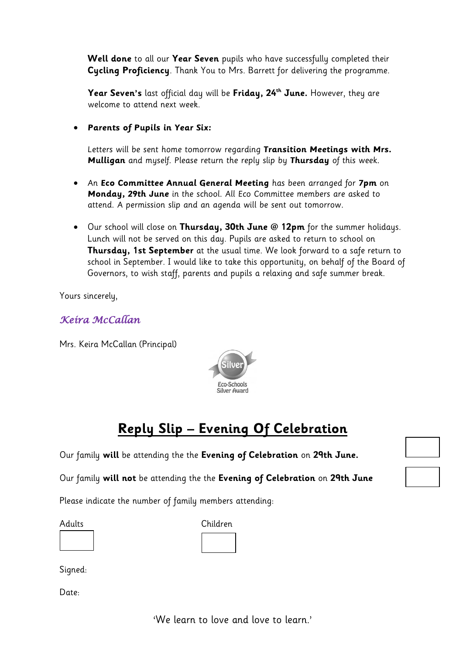**Well done** to all our **Year Seven** pupils who have successfully completed their **Cycling Proficiency**. Thank You to Mrs. Barrett for delivering the programme.

**Year Seven's** last official day will be **Friday, 24 th June.** However, they are welcome to attend next week.

• **Parents of Pupils in Year Six:**

Letters will be sent home tomorrow regarding **Transition Meetings with Mrs. Mulligan** and myself. Please return the reply slip by **Thursday** of this week.

- An **Eco Committee Annual General Meeting** has been arranged for **7pm** on **Monday, 29th June** in the school. All Eco Committee members are asked to attend. A permission slip and an agenda will be sent out tomorrow.
- Our school will close on **Thursday, 30th June @ 12pm** for the summer holidays. Lunch will not be served on this day. Pupils are asked to return to school on **Thursday, 1st September** at the usual time. We look forward to a safe return to school in September. I would like to take this opportunity, on behalf of the Board of Governors, to wish staff, parents and pupils a relaxing and safe summer break.

Yours sincerely,

## *Keira McCallan*

Mrs. Keira McCallan (Principal)



## **Reply Slip – Evening Of Celebration**

Our family **will** be attending the the **Evening of Celebration** on **29th June.**

Our family **will not** be attending the the **Evening of Celebration** on **29th June**

Please indicate the number of family members attending:

Adults Children

Signed:

Date:

'We learn to love and love to learn.'